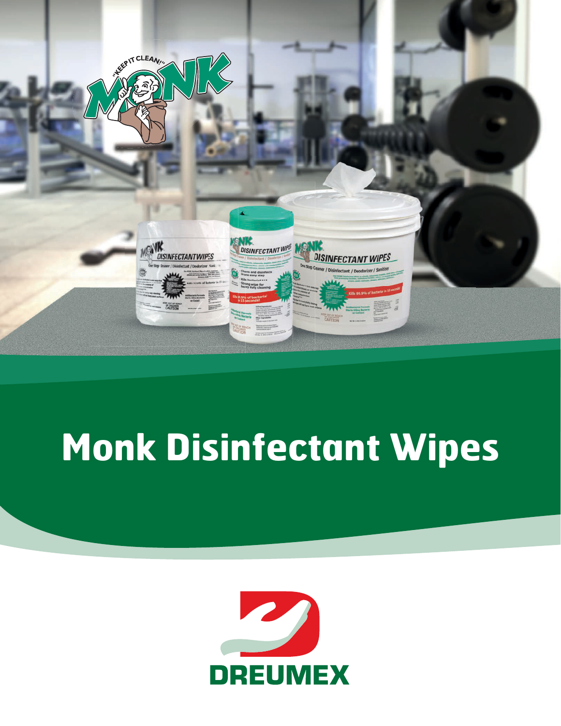

# **Monk Disinfectant Wipes**